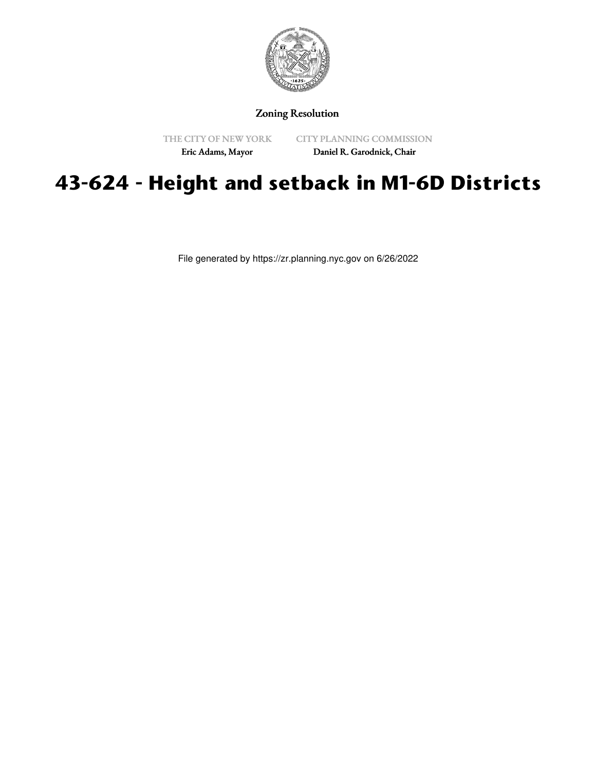

# Zoning Resolution

THE CITY OF NEW YORK Eric Adams, Mayor

CITY PLANNING COMMISSION

Daniel R. Garodnick, Chair

# **43-624 - Height and setback in M1-6D Districts**

File generated by https://zr.planning.nyc.gov on 6/26/2022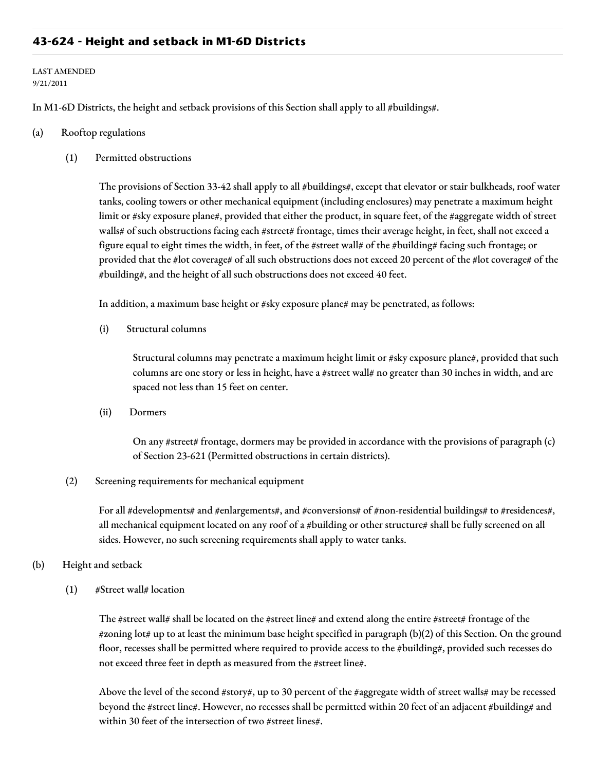# **43-624 - Height and setback in M1-6D Districts**

#### LAST AMENDED 9/21/2011

In M1-6D Districts, the height and setback provisions of this Section shall apply to all #buildings#.

#### (a) Rooftop regulations

(1) Permitted obstructions

The provisions of Section 33-42 shall apply to all #buildings#, except that elevator or stair bulkheads, roof water tanks, cooling towers or other mechanical equipment (including enclosures) may penetrate a maximum height limit or #sky exposure plane#, provided that either the product, in square feet, of the #aggregate width of street walls# of such obstructions facing each #street# frontage, times their average height, in feet, shall not exceed a figure equal to eight times the width, in feet, of the #street wall# of the #building# facing such frontage; or provided that the #lot coverage# of all such obstructions does not exceed 20 percent of the #lot coverage# of the #building#, and the height of all such obstructions does not exceed 40 feet.

In addition, a maximum base height or #sky exposure plane# may be penetrated, as follows:

(i) Structural columns

Structural columns may penetrate a maximum height limit or #sky exposure plane#, provided that such columns are one story or less in height, have a #street wall# no greater than 30 inches in width, and are spaced not less than 15 feet on center.

(ii) Dormers

On any #street# frontage, dormers may be provided in accordance with the provisions of paragraph (c) of Section 23-621 (Permitted obstructions in certain districts).

(2) Screening requirements for mechanical equipment

For all #developments# and #enlargements#, and #conversions# of #non-residential buildings# to #residences#, all mechanical equipment located on any roof of a #building or other structure# shall be fully screened on all sides. However, no such screening requirements shall apply to water tanks.

#### (b) Height and setback

(1) #Street wall# location

The #street wall# shall be located on the #street line# and extend along the entire #street# frontage of the #zoning lot# up to at least the minimum base height specified in paragraph (b)(2) of this Section. On the ground floor, recesses shall be permitted where required to provide access to the #building#, provided such recesses do not exceed three feet in depth as measured from the #street line#.

Above the level of the second #story#, up to 30 percent of the #aggregate width of street walls# may be recessed beyond the #street line#. However, no recesses shall be permitted within 20 feet of an adjacent #building# and within 30 feet of the intersection of two #street lines#.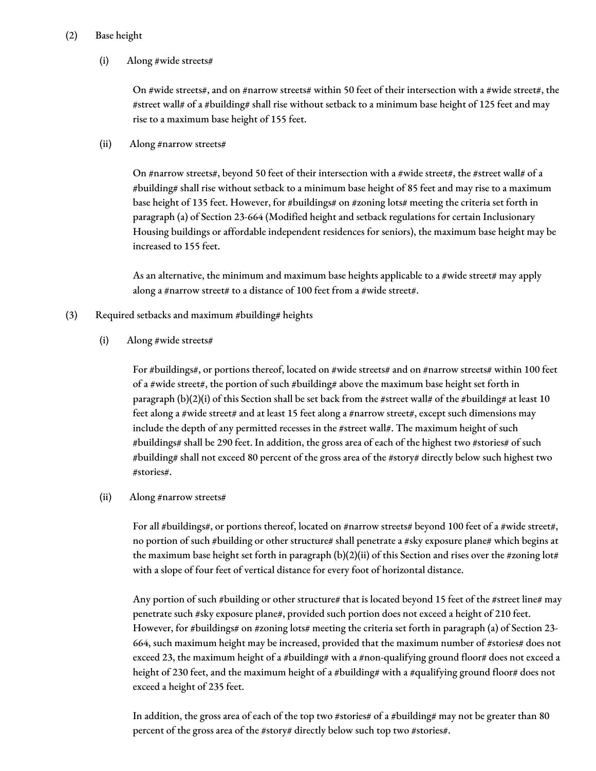## (2) Base height

## (i) Along #wide streets#

On #wide streets#, and on #narrow streets# within 50 feet of their intersection with a #wide street#, the #street wall# of a #building# shall rise without setback to a minimum base height of 125 feet and may rise to a maximum base height of 155 feet.

#### (ii) Along #narrow streets#

On #narrow streets#, beyond 50 feet of their intersection with a #wide street#, the #street wall# of a #building# shall rise without setback to a minimum base height of 85 feet and may rise to a maximum base height of 135 feet. However, for #buildings# on #zoning lots# meeting the criteria set forth in paragraph (a) of Section 23-664 (Modified height and setback regulations for certain Inclusionary Housing buildings or affordable independent residences for seniors), the maximum base height may be increased to 155 feet.

As an alternative, the minimum and maximum base heights applicable to a #wide street# may apply along a #narrow street# to a distance of 100 feet from a #wide street#.

(3) Required setbacks and maximum #building# heights

## (i) Along #wide streets#

For #buildings#, or portions thereof, located on #wide streets# and on #narrow streets# within 100 feet of a #wide street#, the portion of such #building# above the maximum base height set forth in paragraph (b)(2)(i) of this Section shall be set back from the #street wall# of the #building# at least 10 feet along a #wide street# and at least 15 feet along a #narrow street#, except such dimensions may include the depth of any permitted recesses in the #street wall#. The maximum height of such #buildings# shall be 290 feet. In addition, the gross area of each of the highest two #stories# of such #building# shall not exceed 80 percent of the gross area of the #story# directly below such highest two #stories#.

## (ii) Along #narrow streets#

For all #buildings#, or portions thereof, located on #narrow streets# beyond 100 feet of a #wide street#, no portion of such #building or other structure# shall penetrate a #sky exposure plane# which begins at the maximum base height set forth in paragraph (b)(2)(ii) of this Section and rises over the #zoning lot# with a slope of four feet of vertical distance for every foot of horizontal distance.

Any portion of such #building or other structure# that is located beyond 15 feet of the #street line# may penetrate such #sky exposure plane#, provided such portion does not exceed a height of 210 feet. However, for #buildings# on #zoning lots# meeting the criteria set forth in paragraph (a) of Section 23-664, such maximum height may be increased, provided that the maximum number of #stories# does not exceed 23, the maximum height of a #building# with a #non-qualifying ground floor# does not exceed a height of 230 feet, and the maximum height of a #building# with a #qualifying ground floor# does not exceed a height of 235 feet.

In addition, the gross area of each of the top two #stories# of a #building# may not be greater than 80 percent of the gross area of the #story# directly below such top two #stories#.